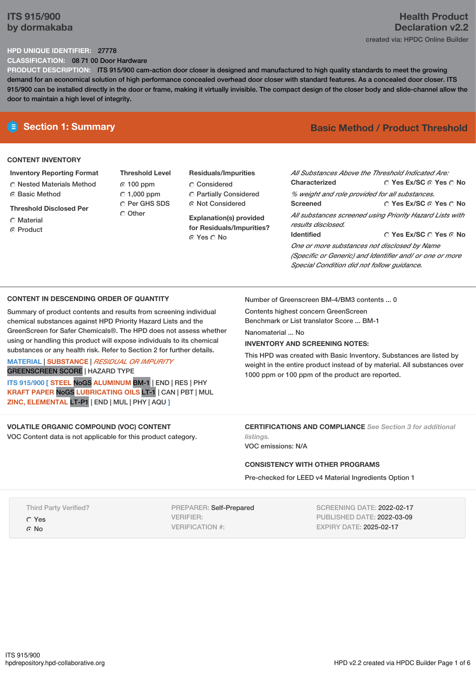# **ITS 915/900 by dormakaba**

# **Health Product Declaration v2.2** created via: HPDC Online Builder

## **HPD UNIQUE IDENTIFIER:** 27778

**CLASSIFICATION:** 08 71 00 Door Hardware

**PRODUCT DESCRIPTION:** ITS 915/900 cam-action door closer is designed and manufactured to high quality standards to meet the growing demand for an economical solution of high performance concealed overhead door closer with standard features. As a concealed door closer. ITS 915/900 can be installed directly in the door or frame, making it virtually invisible. The compact design of the closer body and slide-channel allow the door to maintain a high level of integrity.

# **CONTENT INVENTORY**

- **Inventory Reporting Format** Nested Materials Method **C** Basic Method
- **Threshold Disclosed Per**
- **C** Material
- ⊙ Product
- **Threshold Level** 100 ppm  $C$  1,000 ppm O Per GHS SDS Other
- **Residuals/Impurities** Considered Partially Considered Not Considered

**Explanation(s) provided for Residuals/Impurities?** Yes No

# **E** Section 1: Summary **Basic Method / Product Threshold**

| All Substances Above the Threshold Indicated Are:        |                        |  |  |  |  |
|----------------------------------------------------------|------------------------|--|--|--|--|
| Characterized                                            | ○ Yes Ex/SC ⊙ Yes ○ No |  |  |  |  |
| % weight and role provided for all substances.           |                        |  |  |  |  |
| <b>Screened</b>                                          | ○ Yes Ex/SC ⊙ Yes ○ No |  |  |  |  |
| All substances screened using Priority Hazard Lists with |                        |  |  |  |  |
| results disclosed.                                       |                        |  |  |  |  |
| <b>Identified</b>                                        | ∩ Yes Ex/SC ∩ Yes ∩ No |  |  |  |  |
| One or more substances not disclosed by Name             |                        |  |  |  |  |
| (Specific or Generic) and Identifier and/ or one or more |                        |  |  |  |  |
| Special Condition did not follow quidance.               |                        |  |  |  |  |

### **CONTENT IN DESCENDING ORDER OF QUANTITY**

Summary of product contents and results from screening individual chemical substances against HPD Priority Hazard Lists and the GreenScreen for Safer Chemicals®. The HPD does not assess whether using or handling this product will expose individuals to its chemical substances or any health risk. Refer to Section 2 for further details.

# **MATERIAL** | **SUBSTANCE** | *RESIDUAL OR IMPURITY*

GREENSCREEN SCORE | HAZARD TYPE **ITS 915/900 [ STEEL** NoGS **ALUMINUM** BM-1 | END | RES | PHY **KRAFT PAPER** NoGS **LUBRICATING OILS** LT-1 | CAN | PBT | MUL

**ZINC, ELEMENTAL** LT-P1 | END | MUL | PHY | AQU **]**

### **VOLATILE ORGANIC COMPOUND (VOC) CONTENT**

VOC Content data is not applicable for this product category.

Number of Greenscreen BM-4/BM3 contents ... 0

Contents highest concern GreenScreen Benchmark or List translator Score ... BM-1

Nanomaterial ... No

### **INVENTORY AND SCREENING NOTES:**

This HPD was created with Basic Inventory. Substances are listed by weight in the entire product instead of by material. All substances over 1000 ppm or 100 ppm of the product are reported.

## **CERTIFICATIONS AND COMPLIANCE** *See Section 3 for additional listings.*

VOC emissions: N/A

### **CONSISTENCY WITH OTHER PROGRAMS**

Pre-checked for LEED v4 Material Ingredients Option 1

Third Party Verified?

Yes

G No

PREPARER: Self-Prepared VERIFIER: VERIFICATION #:

SCREENING DATE: 2022-02-17 PUBLISHED DATE: 2022-03-09 EXPIRY DATE: 2025-02-17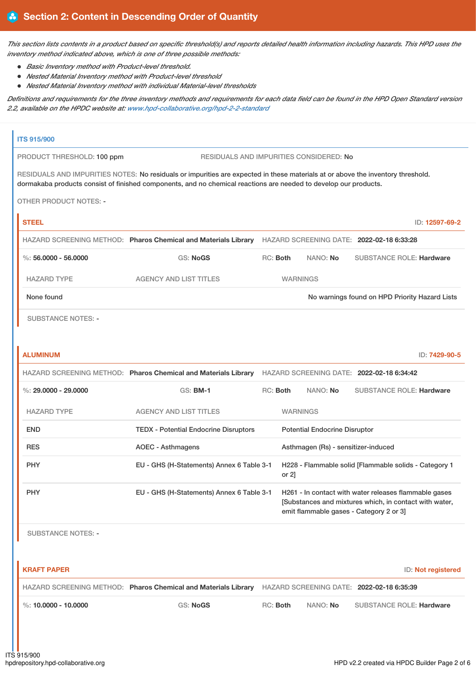This section lists contents in a product based on specific threshold(s) and reports detailed health information including hazards. This HPD uses the *inventory method indicated above, which is one of three possible methods:*

- *Basic Inventory method with Product-level threshold.*
- *Nested Material Inventory method with Product-level threshold*
- *Nested Material Inventory method with individual Material-level thresholds*

Definitions and requirements for the three inventory methods and requirements for each data field can be found in the HPD Open Standard version *2.2, available on the HPDC website at: [www.hpd-collaborative.org/hpd-2-2-standard](https://www.hpd-collaborative.org/hpd-2-2-standard)*

# **ITS 915/900** PRODUCT THRESHOLD: 100 ppm RESIDUALS AND IMPURITIES CONSIDERED: No RESIDUALS AND IMPURITIES NOTES: No residuals or impurities are expected in these materials at or above the inventory threshold. dormakaba products consist of finished components, and no chemical reactions are needed to develop our products. OTHER PRODUCT NOTES: - **STEEL** ID: **12597-69-2** HAZARD SCREENING METHOD: **Pharos Chemical and Materials Library** HAZARD SCREENING DATE: **2022-02-18 6:33:28** %: **56.0000 - 56.0000** GS: **NoGS** RC: **Both** NANO: **No** SUBSTANCE ROLE: **Hardware** HAZARD TYPE AGENCY AND LIST TITLES WARNINGS None found Now arrings found on HPD Priority Hazard Lists SUBSTANCE NOTES: -

| <b>ALUMINUM</b>        |                                                                |          |                 |                                      |                                                                                                                                                           | ID: 7429-90-5 |
|------------------------|----------------------------------------------------------------|----------|-----------------|--------------------------------------|-----------------------------------------------------------------------------------------------------------------------------------------------------------|---------------|
|                        | HAZARD SCREENING METHOD: Pharos Chemical and Materials Library |          |                 |                                      | HAZARD SCREENING DATE: 2022-02-18 6:34:42                                                                                                                 |               |
| %: $29,0000 - 29,0000$ | $GS:$ BM-1                                                     | RC: Both |                 | NANO: No                             | <b>SUBSTANCE ROLE: Hardware</b>                                                                                                                           |               |
| <b>HAZARD TYPE</b>     | <b>AGENCY AND LIST TITLES</b>                                  |          | <b>WARNINGS</b> |                                      |                                                                                                                                                           |               |
| <b>END</b>             | <b>TEDX</b> - Potential Endocrine Disruptors                   |          |                 | <b>Potential Endocrine Disruptor</b> |                                                                                                                                                           |               |
| <b>RES</b>             | <b>AOEC - Asthmagens</b>                                       |          |                 | Asthmagen (Rs) - sensitizer-induced  |                                                                                                                                                           |               |
| <b>PHY</b>             | EU - GHS (H-Statements) Annex 6 Table 3-1                      |          | or $2$ ]        |                                      | H228 - Flammable solid [Flammable solids - Category 1                                                                                                     |               |
| <b>PHY</b>             | EU - GHS (H-Statements) Annex 6 Table 3-1                      |          |                 |                                      | H261 - In contact with water releases flammable gases<br>[Substances and mixtures which, in contact with water,<br>emit flammable gases - Category 2 or 3 |               |

SUBSTANCE NOTES: -

| <b>KRAFT PAPER</b>                 |                                                                                                                 |          |                 | ID: Not registered              |
|------------------------------------|-----------------------------------------------------------------------------------------------------------------|----------|-----------------|---------------------------------|
|                                    | HAZARD SCREENING METHOD: <b>Pharos Chemical and Materials Library</b> HAZARD SCREENING DATE: 2022-02-18 6:35:39 |          |                 |                                 |
| $\frac{1}{2}$ %: 10.0000 - 10.0000 | GS: NoGS                                                                                                        | RC: Both | NANO: <b>No</b> | <b>SUBSTANCE ROLE: Hardware</b> |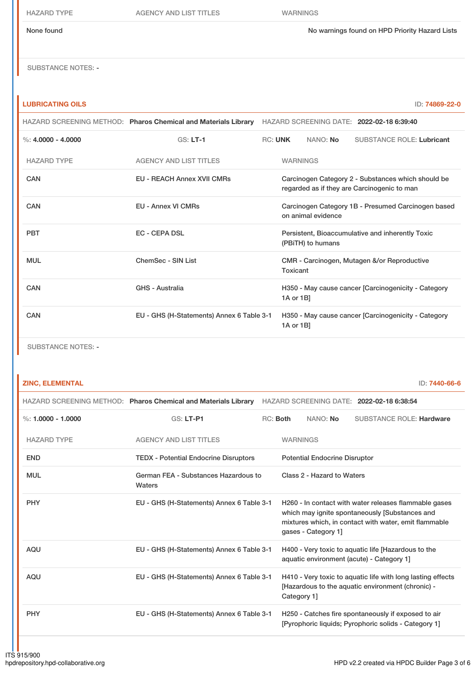HAZARD TYPE AGENCY AND LIST TITLES WARNINGS

None found No warnings found on HPD Priority Hazard Lists

**LUBRICATING OILS** ID: **74869-22-0**

SUBSTANCE NOTES: -

|                      | HAZARD SCREENING METHOD: Pharos Chemical and Materials Library | HAZARD SCREENING DATE: 2022-02-18 6:39:40                                                         |
|----------------------|----------------------------------------------------------------|---------------------------------------------------------------------------------------------------|
| %: $4.0000 - 4.0000$ | $GS: LT-1$                                                     | <b>RC: UNK</b><br>NANO: No<br><b>SUBSTANCE ROLE: Lubricant</b>                                    |
| <b>HAZARD TYPE</b>   | <b>AGENCY AND LIST TITLES</b>                                  | <b>WARNINGS</b>                                                                                   |
| CAN                  | <b>EU - REACH Annex XVII CMRs</b>                              | Carcinogen Category 2 - Substances which should be<br>regarded as if they are Carcinogenic to man |
| CAN                  | <b>EU - Annex VI CMRs</b>                                      | Carcinogen Category 1B - Presumed Carcinogen based<br>on animal evidence                          |
| <b>PBT</b>           | EC - CEPA DSL                                                  | Persistent, Bioaccumulative and inherently Toxic<br>(PBITH) to humans                             |
| <b>MUL</b>           | ChemSec - SIN List                                             | CMR - Carcinogen, Mutagen &/or Reproductive<br>Toxicant                                           |
| <b>CAN</b>           | <b>GHS - Australia</b>                                         | H350 - May cause cancer [Carcinogenicity - Category<br>1A or 1B]                                  |
| CAN                  | EU - GHS (H-Statements) Annex 6 Table 3-1                      | H350 - May cause cancer [Carcinogenicity - Category<br>1A or 1B]                                  |
|                      |                                                                |                                                                                                   |

SUBSTANCE NOTES: -

### **ZINC, ELEMENTAL** ID: **7440-66-6**

|                      | HAZARD SCREENING METHOD: Pharos Chemical and Materials Library HAZARD SCREENING DATE: 2022-02-18 6:38:54 |          |                                                                                                                                                                                         |                                      |                                                                                                                  |  |
|----------------------|----------------------------------------------------------------------------------------------------------|----------|-----------------------------------------------------------------------------------------------------------------------------------------------------------------------------------------|--------------------------------------|------------------------------------------------------------------------------------------------------------------|--|
| %: $1.0000 - 1.0000$ | $GS: LT-PI$                                                                                              | RC: Both |                                                                                                                                                                                         | NANO: No                             | <b>SUBSTANCE ROLE: Hardware</b>                                                                                  |  |
| <b>HAZARD TYPE</b>   | <b>AGENCY AND LIST TITLES</b>                                                                            |          | <b>WARNINGS</b>                                                                                                                                                                         |                                      |                                                                                                                  |  |
| <b>END</b>           | <b>TEDX</b> - Potential Endocrine Disruptors                                                             |          |                                                                                                                                                                                         | <b>Potential Endocrine Disruptor</b> |                                                                                                                  |  |
| <b>MUL</b>           | German FEA - Substances Hazardous to<br>Waters                                                           |          | Class 2 - Hazard to Waters                                                                                                                                                              |                                      |                                                                                                                  |  |
| <b>PHY</b>           | EU - GHS (H-Statements) Annex 6 Table 3-1                                                                |          | H260 - In contact with water releases flammable gases<br>which may ignite spontaneously [Substances and<br>mixtures which, in contact with water, emit flammable<br>gases - Category 1] |                                      |                                                                                                                  |  |
| <b>AQU</b>           | EU - GHS (H-Statements) Annex 6 Table 3-1                                                                |          | H400 - Very toxic to aquatic life [Hazardous to the<br>aquatic environment (acute) - Category 1]                                                                                        |                                      |                                                                                                                  |  |
| <b>AQU</b>           | EU - GHS (H-Statements) Annex 6 Table 3-1                                                                |          | Category 1]                                                                                                                                                                             |                                      | H410 - Very toxic to aquatic life with long lasting effects<br>[Hazardous to the aquatic environment (chronic) - |  |
| <b>PHY</b>           | EU - GHS (H-Statements) Annex 6 Table 3-1                                                                |          |                                                                                                                                                                                         |                                      | H250 - Catches fire spontaneously if exposed to air<br>[Pyrophoric liquids: Pyrophoric solids - Category 1]      |  |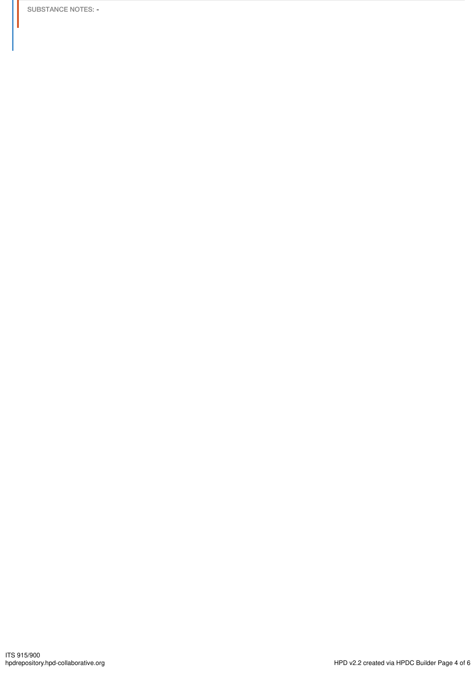SUBSTANCE NOTES: -

H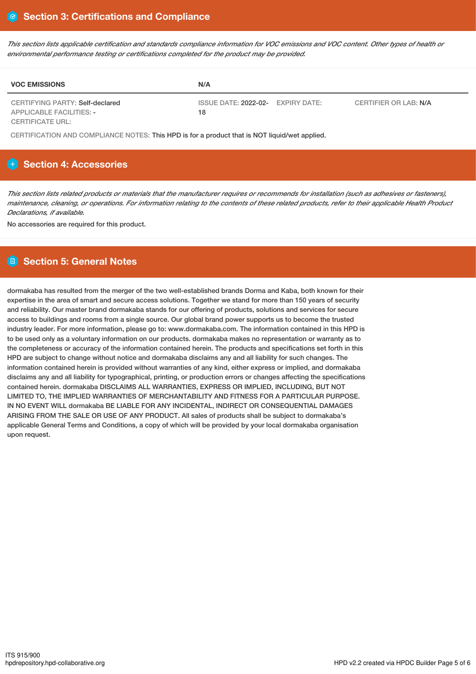This section lists applicable certification and standards compliance information for VOC emissions and VOC content. Other types of health or *environmental performance testing or certifications completed for the product may be provided.*

| <b>VOC EMISSIONS</b>                                               | N/A                                     |                       |
|--------------------------------------------------------------------|-----------------------------------------|-----------------------|
| CERTIFYING PARTY: Self-declared<br><b>APPLICABLE FACILITIES: -</b> | ISSUE DATE: 2022-02- EXPIRY DATE:<br>18 | CERTIFIER OR LAB: N/A |
| <b>CERTIFICATE URL:</b>                                            |                                         |                       |

CERTIFICATION AND COMPLIANCE NOTES: This HPD is for a product that is NOT liquid/wet applied.

# **H** Section 4: Accessories

This section lists related products or materials that the manufacturer requires or recommends for installation (such as adhesives or fasteners), maintenance, cleaning, or operations. For information relating to the contents of these related products, refer to their applicable Health Product *Declarations, if available.*

No accessories are required for this product.

# **Section 5: General Notes**

dormakaba has resulted from the merger of the two well-established brands Dorma and Kaba, both known for their expertise in the area of smart and secure access solutions. Together we stand for more than 150 years of security and reliability. Our master brand dormakaba stands for our offering of products, solutions and services for secure access to buildings and rooms from a single source. Our global brand power supports us to become the trusted industry leader. For more information, please go to: www.dormakaba.com. The information contained in this HPD is to be used only as a voluntary information on our products. dormakaba makes no representation or warranty as to the completeness or accuracy of the information contained herein. The products and specifications set forth in this HPD are subject to change without notice and dormakaba disclaims any and all liability for such changes. The information contained herein is provided without warranties of any kind, either express or implied, and dormakaba disclaims any and all liability for typographical, printing, or production errors or changes affecting the specifications contained herein. dormakaba DISCLAIMS ALL WARRANTIES, EXPRESS OR IMPLIED, INCLUDING, BUT NOT LIMITED TO, THE IMPLIED WARRANTIES OF MERCHANTABILITY AND FITNESS FOR A PARTICULAR PURPOSE. IN NO EVENT WILL dormakaba BE LIABLE FOR ANY INCIDENTAL, INDIRECT OR CONSEQUENTIAL DAMAGES ARISING FROM THE SALE OR USE OF ANY PRODUCT. All sales of products shall be subject to dormakaba's applicable General Terms and Conditions, a copy of which will be provided by your local dormakaba organisation upon request.